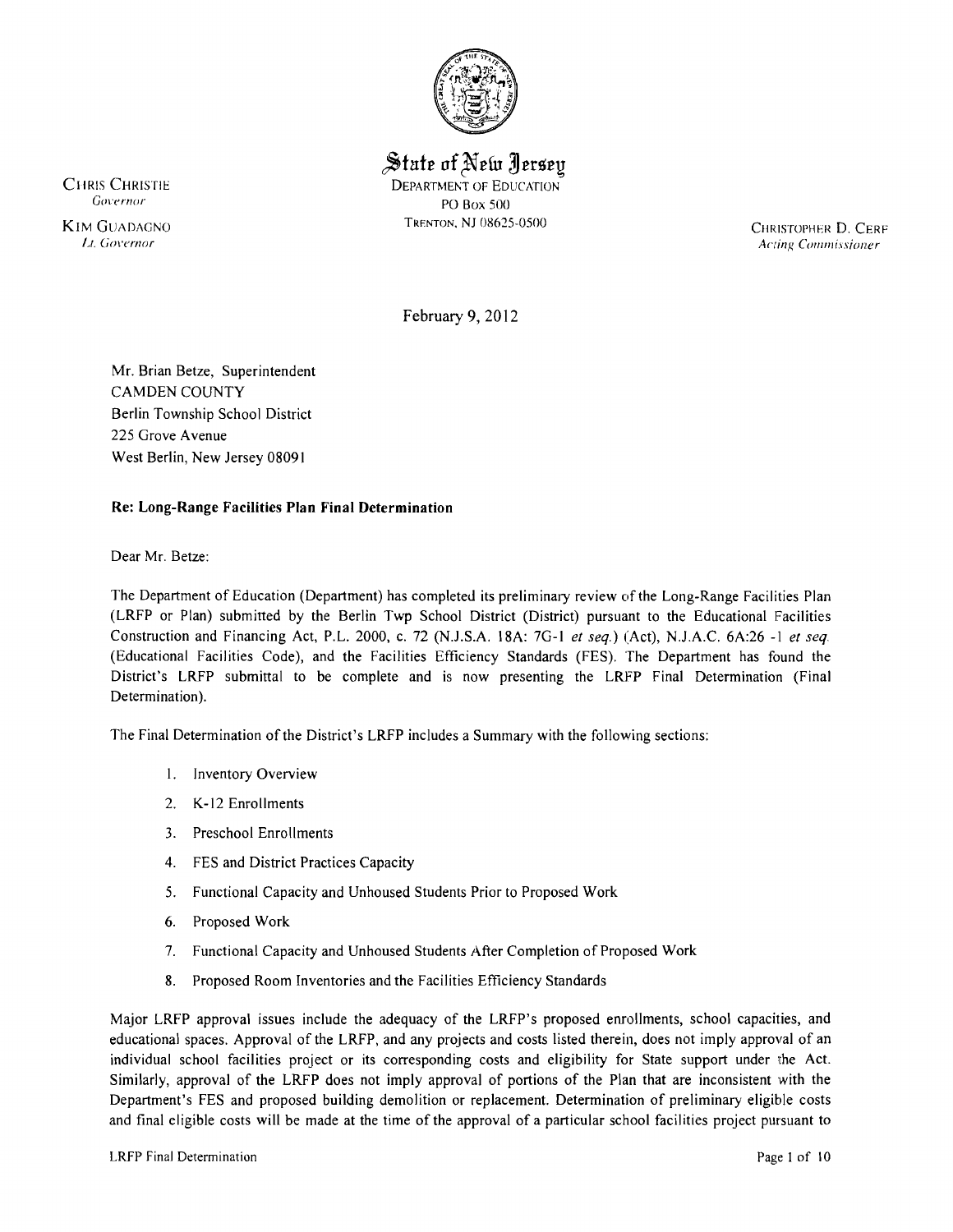

State of New Jersey CHRIS CHRISTIE DEPARTMENT OF EDUCATION *Governor* PO Box 500

 CHRISTOPHER D. CERF *I\_I. G{}\'ernor* ACling *CO/llllli.lsioner* 

February 9,2012

Mr. Brian Betze, Superintendent CAMDEN COUNTY Berlin Township School District 225 Grove Avenue West Berlin, New Jersey 08091

# Re: Long-Range Facilities Plan Final Determination

Dear Mr. Betze:

The Department of Education (Department) has completed its preliminary review of the Long-Range Facilities Plan (LRFP or Plan) submitted by the Berlin Twp School District (District) pursuant to the Educational Facilities Construction and Financing Act, P.L. 2000, c. 72 (NJ.S.A. 18A: 7G-I *et seq.)* (Act), NJ.A.C. 6A:26 -I *et seq*  (Educational Facilities Code), and the Facilities Efficiency Standards (FES). The Department has found the District's LRFP submittal to be complete and is now presenting the LRFP Final Determination (Final Determination).

The Final Determination of the District's LRFP includes a Summary with the following sections:

- I. Inventory Overview
- 2. K-12 Enrollments
- 3. Preschool Enrollments
- 4. FES and District Practices Capacity
- 5. Functional Capacity and Unhoused Students Prior to Proposed Work
- 6. Proposed Work
- 7. Functional Capacity and Unhoused Students After Completion of Proposed Work
- 8. Proposed Room Inventories and the Facilities Efficiency Standards

Major LRFP approval issues include the adequacy of the LRFP's proposed enrollments, school capacities, and educational spaces. Approval of the LRFP, and any projects and costs listed therein, does not imply approval of an individual school facilities project or its corresponding costs and eligibility for State support under the Act. Similarly, approval of the LRFP does not imply approval of portions of the Plan that are inconsistent with the Department's FES and proposed building demolition or replacement. Determination of preliminary eligible costs and final eligible costs will be made at the time of the approval of a particular school facilities project pursuant to



KIM GUADAGNO TRENTON, NJ 08625-0500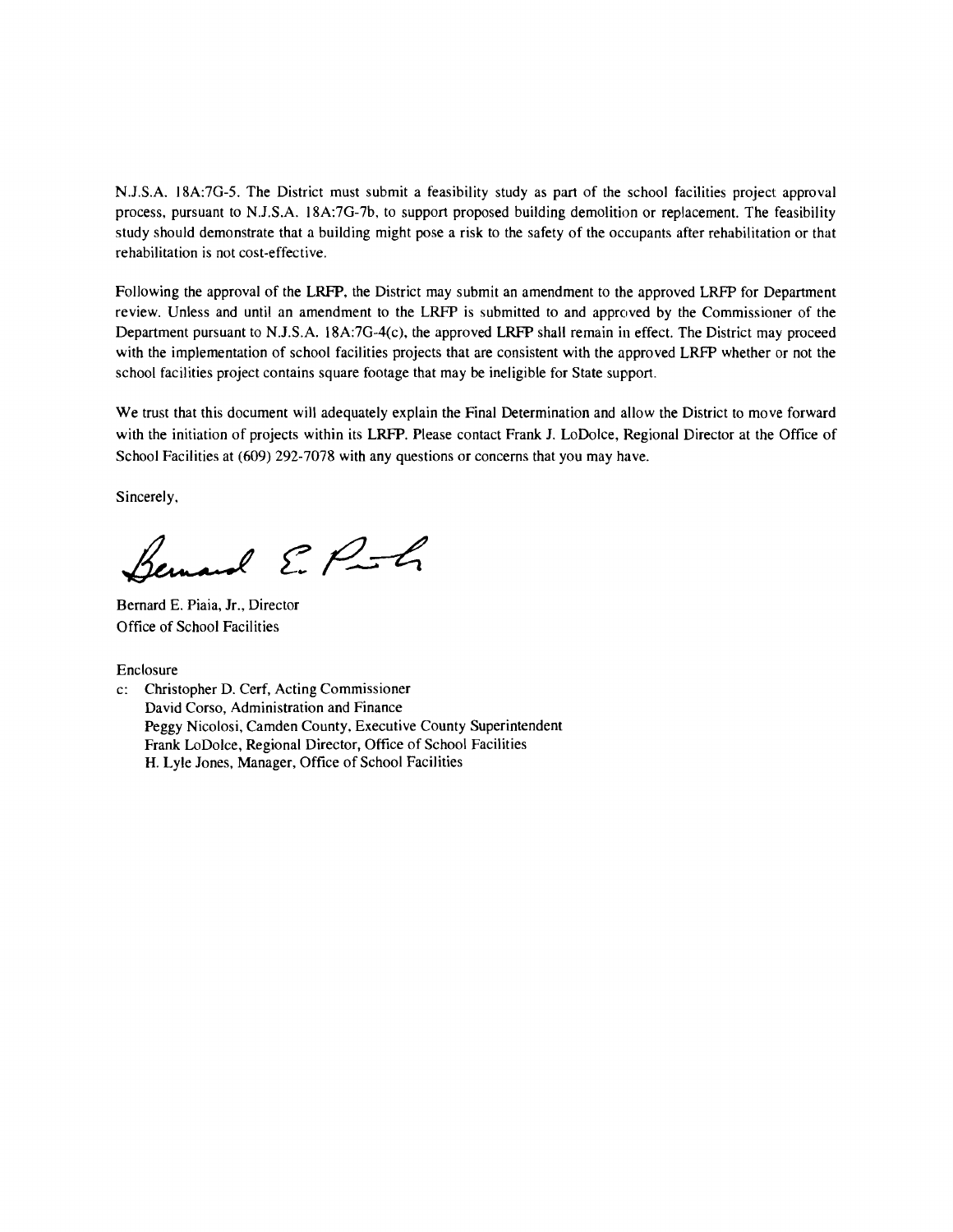N.J.S.A. 18A:7G-5. The District must submit a feasibility study as part of the school facilities project approval process, pursuant to N.J.S.A. 18A:7G-7b, to support proposed building demolition or replacement. The feasibility study should demonstrate that a building might pose a risk to the safety of the occupants after rehabilitation or that rehabilitation is not cost-effective.

Following the approval of the LRFP, the District may submit an amendment to the approved LRFP for Department review. Unless and until an amendment to the LRFP is submitted to and approved by the Commissioner of the Department pursuant to N.J.S.A. 18A:7G-4(c), the approved LRFP shall remain in effect. The District may proceed with the implementation of school facilities projects that are consistent with the approved LRFP whether or not the school facilities project contains square footage that may be ineligible for State support.

We trust that this document will adequately explain the Final Determination and allow the District to move forward with the initiation of projects within its LRFP. Please contact Frank J. LoDolce, Regional Director at the Office of School Facilities at (609) 292-7078 with any questions or concerns that you may have.

Sincerely,

Remard E. P.f.

Bernard E. Piaia, Jr., Director Office of School Facilities

Enclosure

c: Christopher D. Cerf, Acting Commissioner David Corso, Administration and Finance Peggy Nicolosi, Camden County, Executive County Superintendent Frank LoDolce, Regional Director, Office of School Facilities H. Lyle Jones, Manager, Office of School Facilities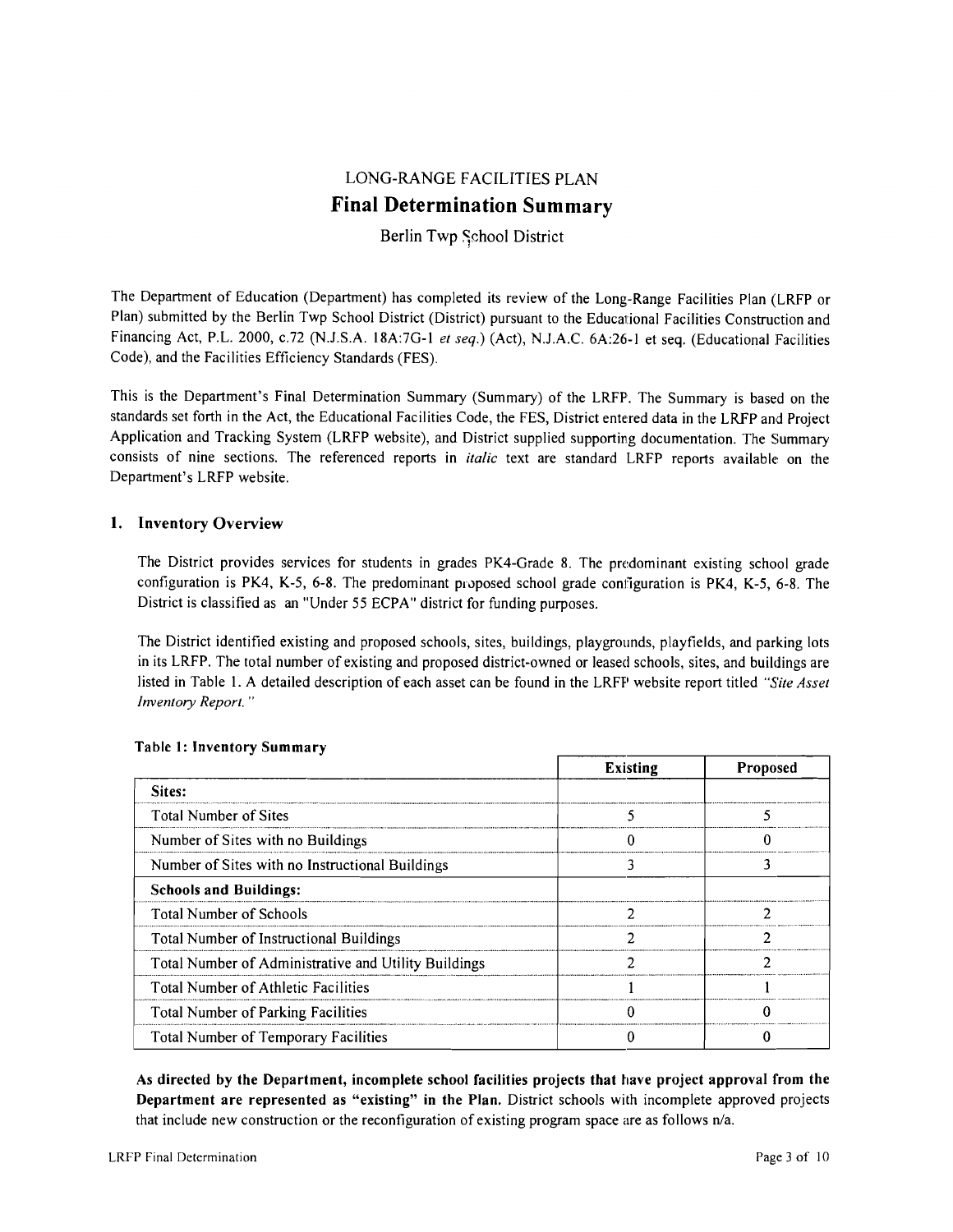# LONG-RANGE FACILITIES PLAN **Final Determination Summary**

# Berlin Twp School District

The Department of Education (Department) has completed its review of the Long-Range Facilities Plan (LRFP or Plan) submitted by the Berlin Twp School District (District) pursuant to the Educational Facilities Construction and Financing Act, P.L. 2000, c.72 (N.J.S.A. 18A:7G-1 et seq.) (Act), N.J.A.C. 6A:26-1 et seq. (Educational Facilities Code), and the Facilities Efficiency Standards (FES).

This is the Department's Final Determination Summary (Summary) of the LRFP. The Summary is based on the standards set forth in the Act, the Educational Facilities Code, the FES, District entered data in the LRFP and Project Application and Tracking System (LRFP website), and District supplied supporting documentation. The Summary consists of nine sections. The referenced reports in *italic* text are standard LRFP reports available' on the Department's LRFP website.

## 1. Inventory Overview

The District provides services for students in grades PK4-Grade 8. The predominant existing school grade configuration is PK4, K-5, 6-8. The predominant proposed school grade configuration is PK4, K-5, 6-8. The District is classified as an "Under 55 ECPA" district for funding purposes.

The District identified existing and proposed schools, sites, buildings, playgrounds, playfields, and parking lots in its LRFP. The total number of existing and proposed district-owned or leased schools, sites, and buildings are listed in Table I. A detailed description of each asset can be found in the LRFP website report titled *"Site Asset Inventory Report.* ..

|                                                      | <b>Existing</b> | Proposed |
|------------------------------------------------------|-----------------|----------|
| Sites:                                               |                 |          |
| <b>Total Number of Sites</b>                         |                 |          |
| Number of Sites with no Buildings                    |                 |          |
| Number of Sites with no Instructional Buildings      |                 |          |
| <b>Schools and Buildings:</b>                        |                 |          |
| <b>Total Number of Schools</b>                       |                 |          |
| Total Number of Instructional Buildings              |                 |          |
| Total Number of Administrative and Utility Buildings |                 |          |
| Total Number of Athletic Facilities                  |                 |          |
| Total Number of Parking Facilities                   |                 |          |
| <b>Total Number of Temporary Facilities</b>          |                 |          |

## Table 1: Inventory Summary

As directed by the Department, incomplete school facilities projects that have project approval from the Department are represented as "existing" in the Plan. District schools with incomplete approved projects that include new construction or the reconfiguration of existing program space are as follows n/a.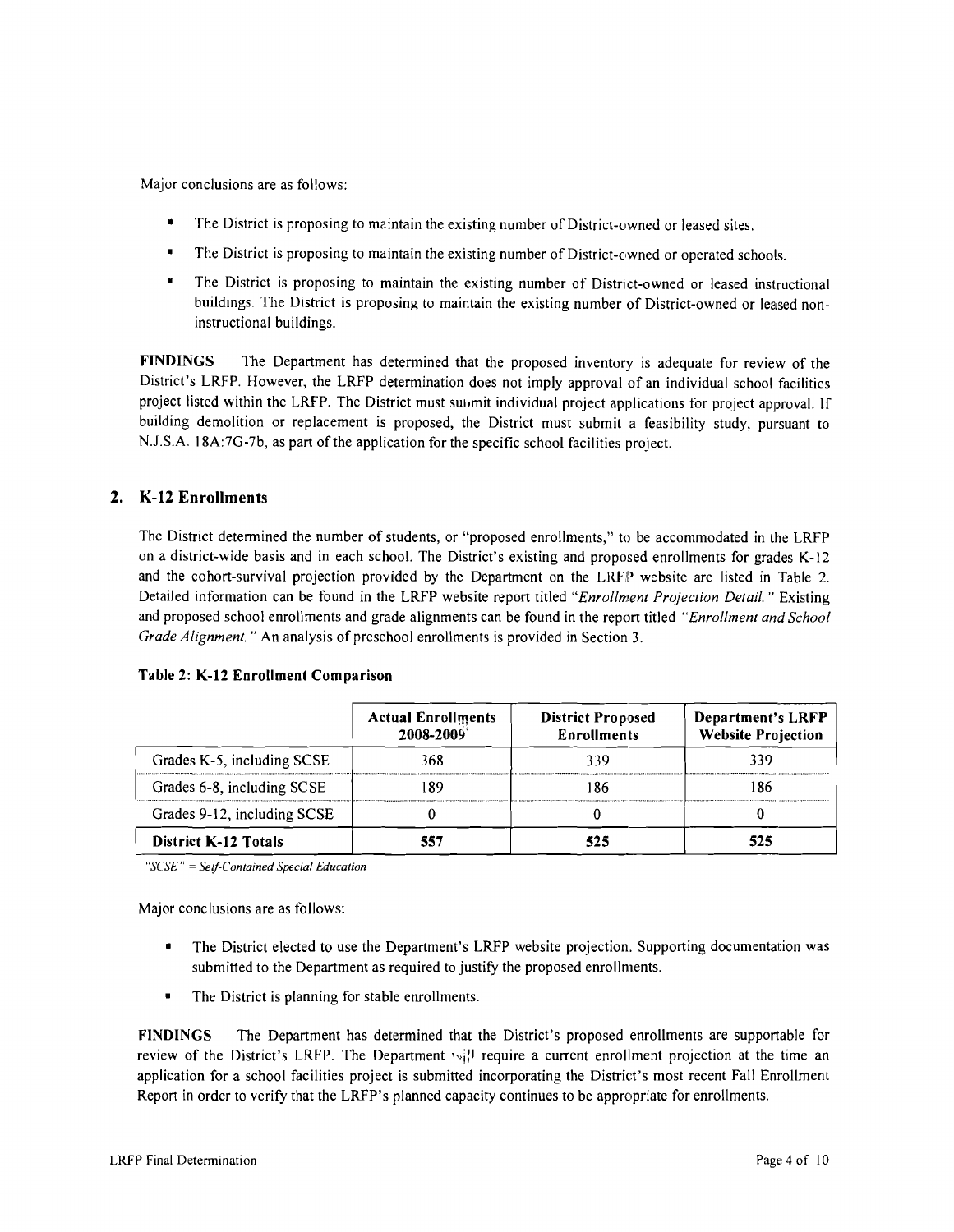Major conclusions are as follows:

- The District is proposing to maintain the existing number of District-owned or leased sites.
- The District is proposing to maintain the existing number of District-owned or operated schools.
- The District is proposing to maintain the existing number of District-owned or leased instructional buildings. The District is proposing to maintain the existing number of District-owned or leased noninstructional buildings.

FINDINGS The Department has determined that the proposed inventory is adequate for review of the District's LRFP. However, the LRFP determination does not imply approval of an individual school facilities project listed within the LRFP. The District must submit individual project applications for project approval. If building demolition or replacement is proposed, the District must submit a feasibility study, pursuant to N.J.S.A. 18A:7G-7b, as part of the application for the specific school facilities project.

# 2. K-12 Enrollments

The District determined the number of students, or "proposed enrollments," to be accommodated in the LRFP on a district-wide basis and in each school. The District's existing and proposed enrollments for grades K-12 and the cohort-survival projection provided by the Department on the LRFP website are listed in Table 2. Detailed information can be found in the LRFP website report titled *"Enrollment Projection Detail.* " Existing and proposed school enrollments and grade alignments can be found in the report titled *"Enrollment and School Grade Alignment.* " An analysis of preschool enrollments is provided in Section 3.

|                             | <b>Actual Enrollments</b><br>2008-2009 | <b>District Proposed</b><br><b>Enrollments</b> | <b>Department's LRFP</b><br><b>Website Projection</b> |
|-----------------------------|----------------------------------------|------------------------------------------------|-------------------------------------------------------|
| Grades K-5, including SCSE  | 368                                    | 339                                            | 339                                                   |
| Grades 6-8, including SCSE  |                                        | 186                                            | 86                                                    |
| Grades 9-12, including SCSE |                                        |                                                |                                                       |
| District K-12 Totals        |                                        | 525                                            | 525                                                   |

#### Table 2: K-12 Enrollment Comparison

*"SCSE"* = *Self-Contained Special Education* 

Major conclusions are as follows:

- The District elected to use the Department's LRFP website projection. Supporting documentation was submitted to the Department as required to justify the proposed enrollments.
- The District is planning for stable enrollments.

FINDINGS The Department has determined that the District's proposed enrollments are supportable for review of the District's LRFP. The Department  $\{v_i\}$  require a current enrollment projection at the time an application for a school facilities project is submitted incorporating the District's most recent Fall Enrollment Report in order to verify that the LRFP's planned capacity continues to be appropriate for enrollments.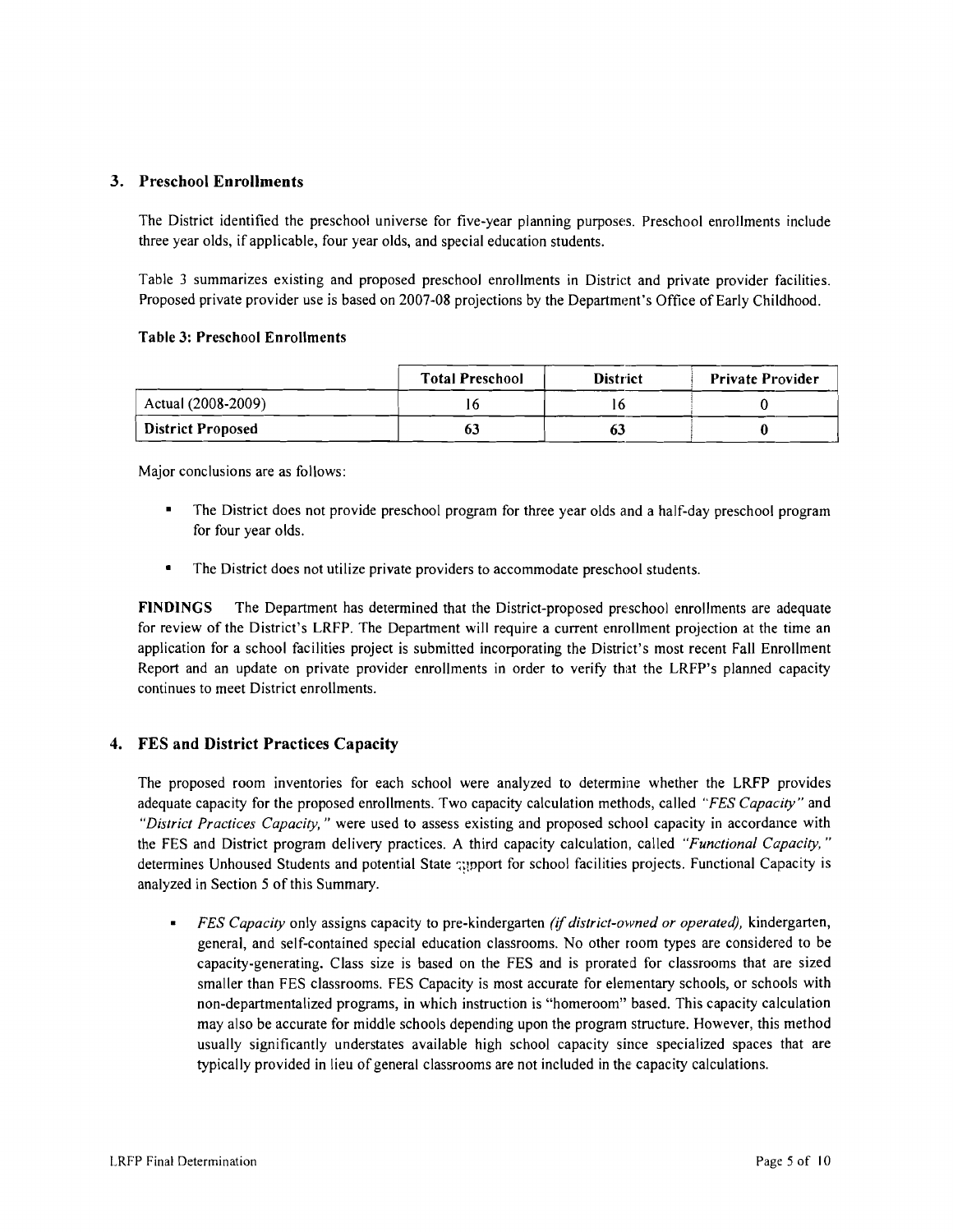## 3. Preschool Enrollments

The District identified the preschool universe for five-year planning purposes. Preschool enrollments include three year olds, if applicable, four year olds, and special education students.

Table 3 summarizes existing and proposed preschool enrollments in District and private provider facilities. Proposed private provider use is based on 2007-08 projections by the Department's Office of Early Childhood.

#### Table 3: Preschool Enrollments

|                          | <b>Total Preschool</b> | <b>District</b> | <b>Private Provider</b> |
|--------------------------|------------------------|-----------------|-------------------------|
| Actual (2008-2009)       |                        |                 |                         |
| <b>District Proposed</b> |                        |                 |                         |

Major conclusions are as follows:

- The District does not provide preschool program for three year olds and a half-day preschool program for four year olds.
- The District does not utilize private providers to accommodate preschool students.

FINDINGS The Department has determined that the District-proposed preschool enrollments are adequate for review of the District's LRFP. The Department will require a current enrollment projection at the time an application for a school facilities project is submitted incorporating the District's most recent Fall Enrollment Report and an update on private provider enrollments in order to verify that the LRFP's planned capacity continues to meet District enrollments.

## 4. FES and District Practices Capacity

The proposed room inventories for each school were analyzed to determine whether the LRFP provides adequate capacity for the proposed enrollments. Two capacity calculation methods, called *"FES Capacity"* and "District Practices Capacity," were used to assess existing and proposed school capacity in accordance with the FES and District program delivery practices. A third capacity calculation, called *"Functional Capacity,* .. determines Unhoused Students and potential State apport for school facilities projects. Functional Capacity is analyzed in Section 5 of this Summary.

*FES Capacity* only assigns capacity to pre-kindergarten *(if district-owned or operated),* kindergarten, general, and self-contained special education classrooms. No other room types are considened to be capacity-generating. Class size is based on the FES and is prorated for classrooms that are sized smaller than FES classrooms. FES Capacity is most accurate for elementary schools, or schools with non-departmentalized programs, in which instruction is "homeroom" based. This capacity calculation may also be accurate for middle schools depending upon the program structure. However, this method usually significantly understates available high school capacity since specialized spaces that are typically provided in lieu of general classrooms are not included in the capacity calculations.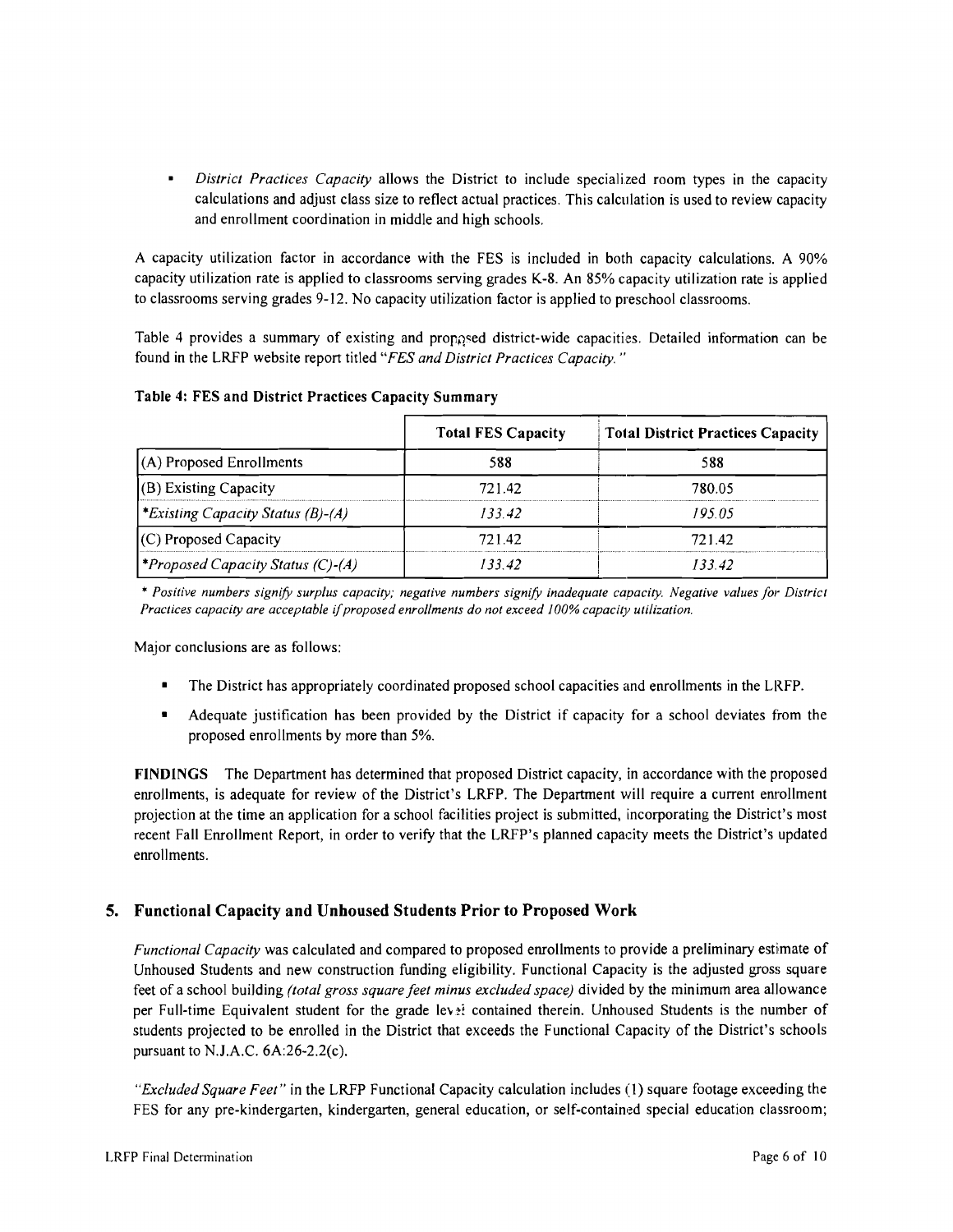$\blacksquare$ *District Practices Capacity* allows the District to include specialized room types in the capacity calculations and adjust class size to reflect actual practices. This calculation is used to review capacity and enrollment coordination in middle and high schools.

A capacity utilization factor in accordance with the FES is included in both capacity calculations. A 90% capacity utilization rate is applied to classrooms serving grades K-8. An 85% capacity utilization rate is applied to classrooms serving grades 9-12. No capacity utilization factor is applied to preschool classrooms.

Table 4 provides a summary of existing and proppsed district-wide capacities. Detailed information can be found in the LRFP website report titled *"FES and District Practices Capacity. "* 

|                                                 | <b>Total FES Capacity</b> | <b>Total District Practices Capacity</b> |
|-------------------------------------------------|---------------------------|------------------------------------------|
| $(A)$ Proposed Enrollments                      | 588                       | 588                                      |
| $($ B $)$ Existing Capacity                     | 721.42                    | 780.05                                   |
| *Existing Capacity Status (B)-(A)               | 133.42                    | 195.05                                   |
| (C) Proposed Capacity                           | 721.42                    | 721.42                                   |
| <i><b>*Proposed Capacity Status (C)-(A)</b></i> | 133 42                    | 13342                                    |

## Table 4: FES and District Practices Capacity Summary

\* *Positive numbers signify surplus capacity: negative numbers signify inadequate capacity. Negative values for District*  Practices capacity are acceptable if proposed enrollments do not exceed 100% capacity utilization.

Major conclusions are as follows:

- The District has appropriately coordinated proposed school capacities and enrollments in the LRFP.
- Adequate justification has been provided by the District if capacity for a school deviates from the proposed enrollments by more than 5%.

FINDINGS The Department has determined that proposed District capacity, in accordance with the proposed enrollments, is adequate for review of the District's LRFP. The Department will require a current enrollment projection at the time an application for a school facilities project is submitted, incorporating the District's most recent Fall Enrollment Report, in order to verify that the LRFP's planned capacity meets the District's updated enrollments.

# 5. Functional Capacity and Unhoused Students Prior to Proposed Work

*Functional Capacity* was calculated and compared to proposed enrollments to provide a preliminary estimate of Unhoused Students and new construction funding eligibility. Functional Capacity is the adjusted gross square feet of a school building *(total gross square feet minus excluded space)* divided by the minimum area allowance per Full-time Equivalent student for the grade lev<sup>3</sup>: contained therein. Unhoused Students is the number of students projected to be enrolled in the District that exceeds the Functional Capacity of the District's schools pursuant to N.J.A.C. 6A:26-2.2(c).

*"Excluded Square Feet"* in the LRFP Functional Capacity calculation includes (1) square footage exceeding the FES for any pre-kindergarten, kindergarten, general education, or self-contained special education classroom;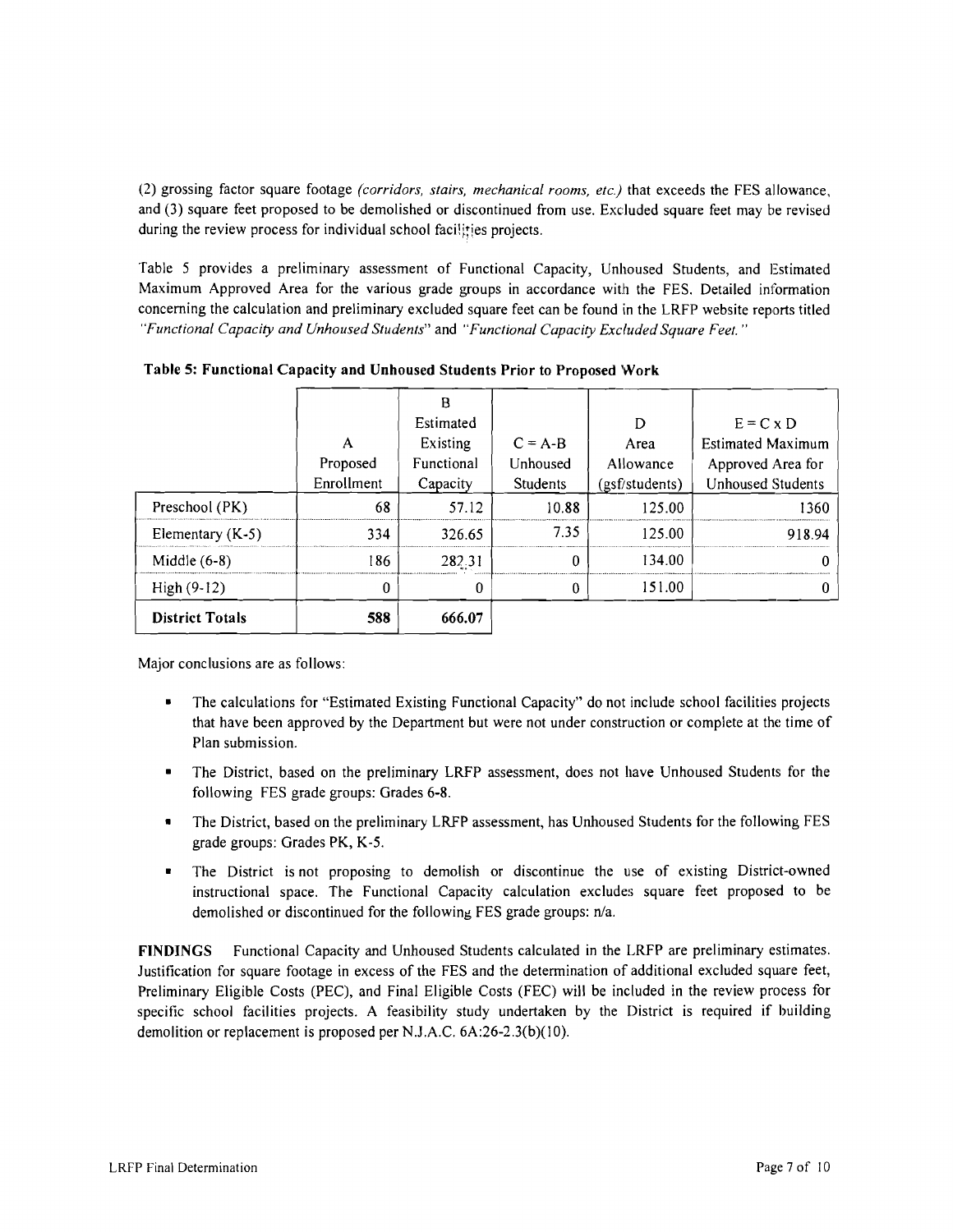(2) grossing factor square footage *(corridors, stairs, mechanical rooms, etc.)* that exceeds the FES allowance, and (3) square feet proposed to be demolished or discontinued from use. Excluded square feet may be revised during the review process for individual school facilities projects.

Table 5 provides a preliminary assessment of Functional Capacity, Unhoused Students, and Estimated Maximum Approved Area for the various grade groups in accordance with the FES. Detailed information concerning the calculation and preliminary excluded square feet can be found in the LRFP website reports titled *"Functional Capacity and Unhoused Students"* and *"Functional Capacity Excluded Square Feet. "* 

| <b>District Totals</b> | 588                    | 666.07                 |                             |                             |                                               |
|------------------------|------------------------|------------------------|-----------------------------|-----------------------------|-----------------------------------------------|
| $High(9-12)$           | 0                      | 0                      |                             | 151.00                      |                                               |
| Middle $(6-8)$         | 186                    | 282.31                 | $\Omega$                    | 134.00                      |                                               |
| Elementary $(K-5)$     | 334                    | 326.65                 | 7.35                        | 125.00                      | 918.94                                        |
| Preschool (PK)         | 68                     | 57.12                  | 10.88                       | 125.00                      | 1360                                          |
|                        | Proposed<br>Enrollment | Functional<br>Capacity | Unhoused<br><b>Students</b> | Allowance<br>(gsf/students) | Approved Area for<br><b>Unhoused Students</b> |
|                        | А                      | Estimated<br>Existing  | $C = A-B$                   | D<br>Area                   | $E = C \times D$<br><b>Estimated Maximum</b>  |
|                        |                        | R                      |                             |                             |                                               |

Table 5: Functional Capacity and Unhoused Students Prior to Proposed Work

Major conclusions are as follows:

- The calculations for "Estimated Existing Functional Capacity" do not include school facilities projects that have been approved by the Department but were not under construction or complete at the time of Plan submission.
- The District, based on the preliminary LRFP assessment, does not have Unhoused Students for the following FES grade groups: Grades 6-8.
- The District, based on the preliminary LRFP assessment, has Unhoused Students for the following FES grade groups: Grades PK, K-5.
- The District is not proposing to demolish or discontinue the use of existing District-owned instructional space. The Functional Capacity calculation excludes square feet proposed to be demolished or discontinued for the following FES grade groups: n/a.

FINDINGS Functional Capacity and Unhoused Students calculated in the LRFP are preliminary estimates. lustification for square footage in excess of the FES and the determination of additional excluded square feet, Preliminary Eligible Costs (PEC), and Final Eligible Costs (FEC) will be included in the review process for specific school facilities projects. A feasibility study undertaken by the District is required if building demolition or replacement is proposed per N.1.A.C. 6A:26-2.3(b)(I0).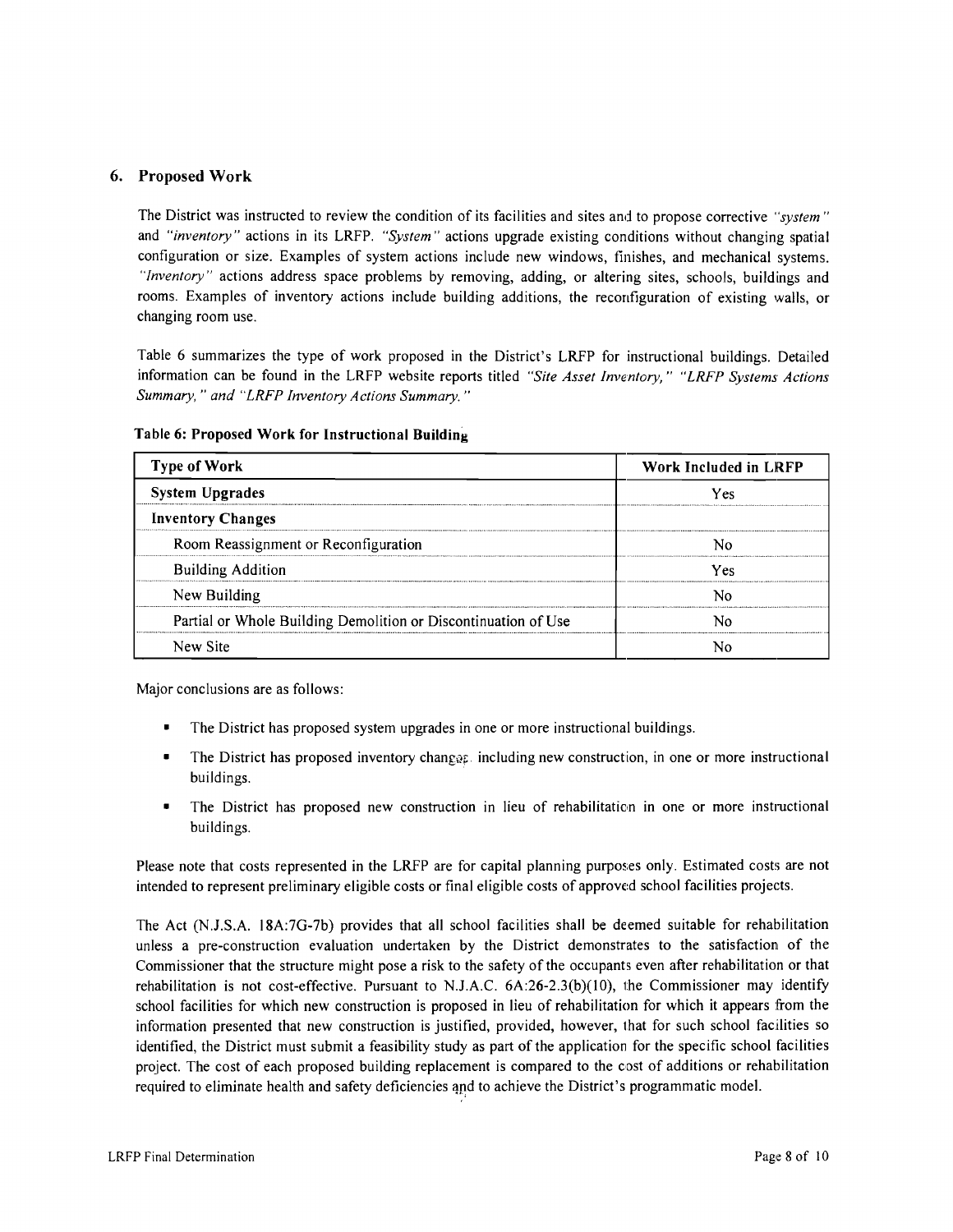## 6. Proposed Work

The District was instructed to review the condition of its facilities and sites and to propose corrective *"system"*  and *"inventory"* actions in its LRFP. *"System"* actions upgrade existing conditions without changing spatial configuration or size. Examples of system actions include new windows, finishes, and mechanical systems. *"Inventory"* actions address space problems by removing, adding, or altering sites, schools, buildings and rooms. Examples of inventory actions include building additions, the reconfiguration of existing walls, or changing room use.

Table 6 summarizes the type of work proposed in the District's LRFP for instructional buildings. Detailed information can be found in the LRFP website reports titled *"Site Asset Inventory," "LRFP Systems Actions Summary,* .. *and "LRFP Inventory Actions Summary. "* 

| <b>Type of Work</b>                                            | Work Included in LRFP |  |  |
|----------------------------------------------------------------|-----------------------|--|--|
| <b>System Upgrades</b>                                         | Yes                   |  |  |
| <b>Inventory Changes</b>                                       |                       |  |  |
| Room Reassignment or Reconfiguration                           |                       |  |  |
| <b>Building Addition</b>                                       | Yes                   |  |  |
| New Building                                                   |                       |  |  |
| Partial or Whole Building Demolition or Discontinuation of Use |                       |  |  |
| New Site                                                       |                       |  |  |

#### Table 6: Proposed Work for Instructional Building

Major conclusions are as follows:

- The District has proposed system upgrades in one or more instructional buildings.
- The District has proposed inventory changes: including new construction, in one or more instructional buildings.
- The District has proposed new construction in lieu of rehabilitation in one or more instructional buildings.

Please note that costs represented in the LRFP are for capital planning purposes only. Estimated costs are not intended to represent preliminary eligible costs or final eligible costs of approved school facilities projects.

The Act (N.l.S.A. 18A:7G-7b) provides that all school facilities shall be deemed suitable for rehabilitation unless a pre-construction evaluation undertaken by the District demonstrates to the satisfaction of the Commissioner that the structure might pose a risk to the safety of the occupants even after rehabilitation or that rehabilitation is not cost-effective. Pursuant to N.J.A.C.  $6A:26-2.3(b)(10)$ , the Commissioner may identify school facilities for which new construction is proposed in lieu of rehabilitation for which it appears from the information presented that new construction is justified, provided, however, that for such school facilities so identified, the District must submit a feasibility study as part of the application for the specific school facilities project. The cost of each proposed building replacement is compared to the cost of additions or rehabilitation required to eliminate health and safety deficiencies and to achieve the District's programmatic model.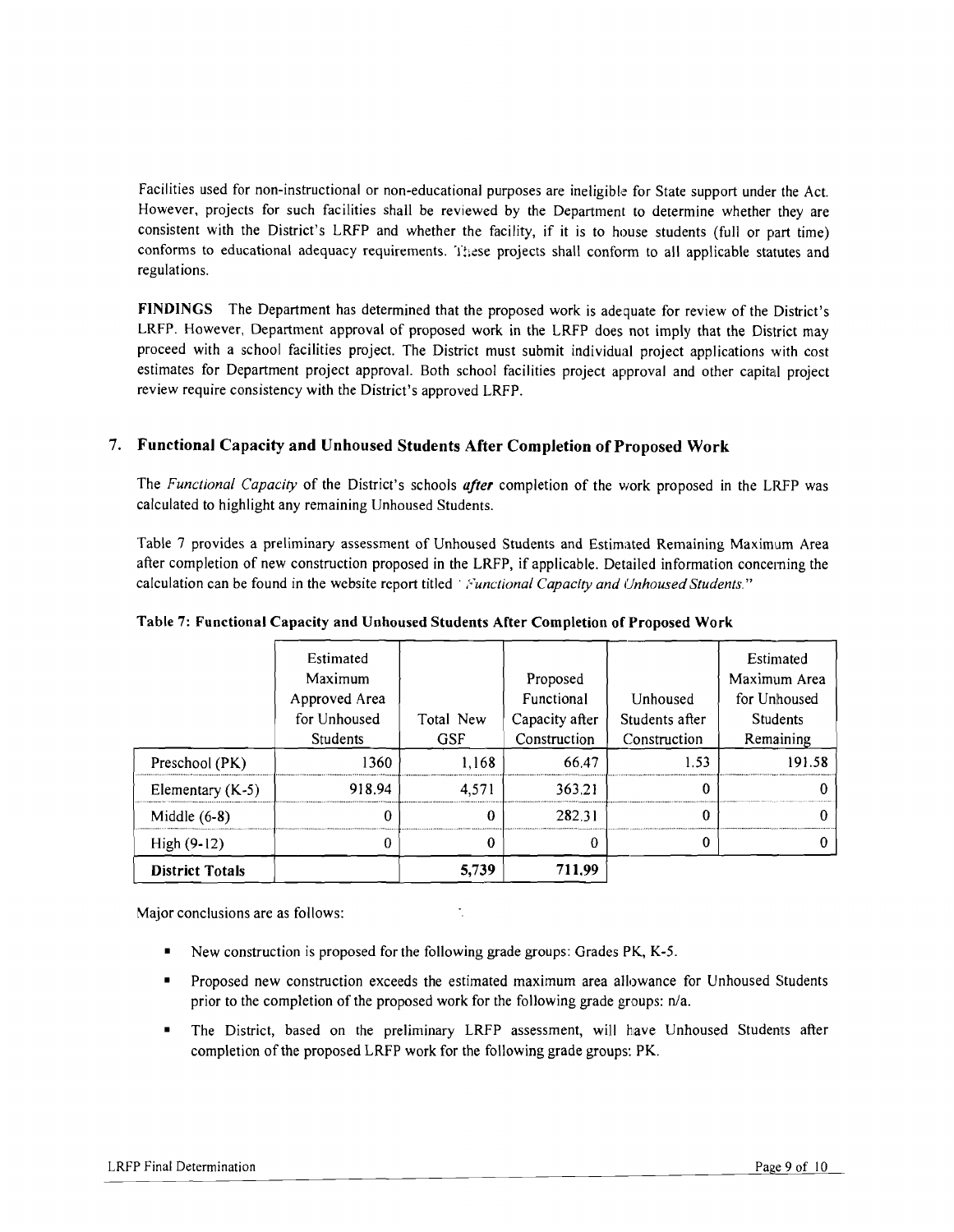Facilities used for non-instructional or non-educational purposes are ineligible for State support under the Act. However, projects for such facilities shall be reviewed by the Department to determine whether they are consistent with the District's LRFP and whether the facility, if it is to house students (full or part time) conforms to educational adequacy requirements. These projects shall conform to all applicable statutes and regulations.

FINDINGS The Department has determined that the proposed work is adequate for review of the District's LRFP. However, Department approval of proposed work in the LRFP does not imply that the District may proceed with a school facilities project. The District must submit individual project applications with cost estimates for Department project approval. Both school facilities project approval and other capital project review require consistency with the District's approved LRFP.

## 7. Functional Capacity and Unhoused Students After Completion of Proposed Work

The *Functional Capacity* of the District's schools *after* completion of the work proposed in the LRFP was calculated to highlight any remaining Unhoused Students.

Table 7 provides a preliminary assessment of Unhoused Students and Estimated Remaining Maximum Area after completion of new construction proposed in the LRFP, if applicable. Detailed information concerning the calculation can be found in the website report titled' */,'unctional Capacity and Unhoused Students."* 

|                        | Estimated<br>Maximum<br>Approved Area<br>for Unhoused<br>Students | Total New<br><b>GSF</b> | Proposed<br>Functional<br>Capacity after<br>Construction | Unhoused<br>Students after<br>Construction | Estimated<br>Maximum Area<br>for Unhoused<br><b>Students</b><br>Remaining |
|------------------------|-------------------------------------------------------------------|-------------------------|----------------------------------------------------------|--------------------------------------------|---------------------------------------------------------------------------|
| Preschool (PK)         | 1360                                                              | 1.168                   | 66.47                                                    | 1.53                                       | 191.58                                                                    |
| Elementary $(K-5)$     | 918.94                                                            | 4.571                   | 363.21                                                   | 0                                          |                                                                           |
| Middle $(6-8)$         |                                                                   | 0                       | 282.31                                                   | 0                                          |                                                                           |
| $High(9-12)$           | 0                                                                 | 0                       | 0                                                        | 0                                          |                                                                           |
| <b>District Totals</b> |                                                                   | 5,739                   | 711.99                                                   |                                            |                                                                           |

Table 7: Functional Capacity and Unhoused Students After Completion of Proposed Work

Major conclusions are as follows:

- New construction is proposed for the following grade groups: Grades PK, K-5.
- Proposed new construction exceeds the estimated maximum area allowance for Unhoused Students prior to the completion of the proposed work for the following grade groups:  $n/a$ .
- The District, based on the preliminary LRFP assessment, will have Unhoused Students after completion of the proposed LRFP work for the following grade groups: PK.